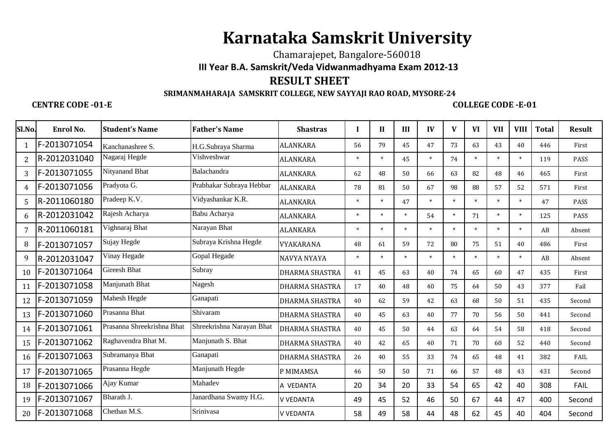# **Karnataka Samskrit University**

## Chamarajepet, Bangalore-560018 **III Year B.A. Samskrit/Veda Vidwanmadhyama Exam 2012-13RESULT SHEET**

### **SRIMANMAHARAJA SAMSKRIT COLLEGE, NEW SAYYAJI RAO ROAD, MYSORE-24**

#### **CENTRE CODE -01-E COLLEGE CODE -E-01**

| Sl.No.         | Enrol No.    | <b>Student's Name</b>      | <b>Father's Name</b>      | <b>Shastras</b>       | п      | $\mathbf{H}$ | III    | IV     | V      | <b>VI</b> | <b>VII</b> | <b>VIII</b> | <b>Total</b> | <b>Result</b> |
|----------------|--------------|----------------------------|---------------------------|-----------------------|--------|--------------|--------|--------|--------|-----------|------------|-------------|--------------|---------------|
| 1              | F-2013071054 | Kanchanashree S.           | H.G.Subraya Sharma        | <b>ALANKARA</b>       | 56     | 79           | 45     | 47     | 73     | 63        | 43         | 40          | 446          | First         |
| $\overline{2}$ | R-2012031040 | Nagaraj Hegde              | Vishveshwar               | <b>ALANKARA</b>       | $\ast$ | $\ast$       | 45     | $\ast$ | 74     | $\ast$    | $\ast$     | $\ast$      | 119          | PASS          |
| 3              | F-2013071055 | Nityanand Bhat             | Balachandra               | <b>ALANKARA</b>       | 62     | 48           | 50     | 66     | 63     | 82        | 48         | 46          | 465          | First         |
| 4              | F-2013071056 | Pradyota G.                | Prabhakar Subraya Hebbar  | ALANKARA              | 78     | 81           | 50     | 67     | 98     | 88        | 57         | 52          | 571          | First         |
| 5              | R-2011060180 | Pradeep K.V.               | Vidyashankar K.R.         | <b>ALANKARA</b>       | $\ast$ | $\ast$       | 47     | $\ast$ | $\ast$ | $\ast$    | $\ast$     | $\ast$      | 47           | PASS          |
| 6              | R-2012031042 | Rajesh Acharya             | Babu Acharya              | <b>ALANKARA</b>       | $\ast$ | $\ast$       | $\ast$ | 54     | $\ast$ | 71        | $\ast$     | $\ast$      | 125          | PASS          |
| 7              | R-2011060181 | Vighnaraj Bhat             | Narayan Bhat              | <b>ALANKARA</b>       | $\ast$ | $\ast$       | $\ast$ | $\ast$ | $\ast$ | $\ast$    |            | $\ast$      | AB           | Absent        |
| 8              | F-2013071057 | Sujay Hegde                | Subraya Krishna Hegde     | VYAKARANA             | 48     | 61           | 59     | 72     | 80     | 75        | 51         | 40          | 486          | First         |
| 9              | R-2012031047 | Vinay Hegade               | Gopal Hegade              | NAVYA NYAYA           | $\ast$ | $\ast$       | $\ast$ | $\ast$ | $\ast$ | $\ast$    |            | $\ast$      | AB           | Absent        |
| 10             | F-2013071064 | Gireesh Bhat               | Subray                    | <b>DHARMA SHASTRA</b> | 41     | 45           | 63     | 40     | 74     | 65        | 60         | 47          | 435          | First         |
| 11             | F-2013071058 | Manjunath Bhat             | Nagesh                    | <b>DHARMA SHASTRA</b> | 17     | 40           | 48     | 40     | 75     | 64        | 50         | 43          | 377          | Fail          |
| 12             | F-2013071059 | Mahesh Hegde               | Ganapati                  | <b>DHARMA SHASTRA</b> | 40     | 62           | 59     | 42     | 63     | 68        | 50         | 51          | 435          | Second        |
| 13             | F-2013071060 | Prasanna Bhat              | Shivaram                  | DHARMA SHASTRA        | 40     | 45           | 63     | 40     | 77     | 70        | 56         | 50          | 441          | Second        |
| 14             | F-2013071061 | Prasanna Shreekrishna Bhat | Shreekrishna Narayan Bhat | <b>DHARMA SHASTRA</b> | 40     | 45           | 50     | 44     | 63     | 64        | 54         | 58          | 418          | Second        |
| 15             | F-2013071062 | Raghavendra Bhat M.        | Manjunath S. Bhat         | <b>DHARMA SHASTRA</b> | 40     | 42           | 65     | 40     | 71     | 70        | 60         | 52          | 440          | Second        |
| 16             | F-2013071063 | Subramanya Bhat            | Ganapati                  | <b>DHARMA SHASTRA</b> | 26     | 40           | 55     | 33     | 74     | 65        | 48         | 41          | 382          | FAIL          |
| 17             | F-2013071065 | Prasanna Hegde             | Manjunath Hegde           | P MIMAMSA             | 46     | 50           | 50     | 71     | 66     | 57        | 48         | 43          | 431          | Second        |
| 18             | F-2013071066 | Ajay Kumar                 | Mahadev                   | A VEDANTA             | 20     | 34           | 20     | 33     | 54     | 65        | 42         | 40          | 308          | FAIL          |
| 19             | F-2013071067 | Bharath J.                 | Janardhana Swamy H.G.     | <b>V VEDANTA</b>      | 49     | 45           | 52     | 46     | 50     | 67        | 44         | 47          | 400          | Second        |
| 20             | F-2013071068 | Chethan M.S.               | Srinivasa                 | <b>V VFDANTA</b>      | 58     | 49           | 58     | 44     | 48     | 62        | 45         | 40          | 404          | Second        |